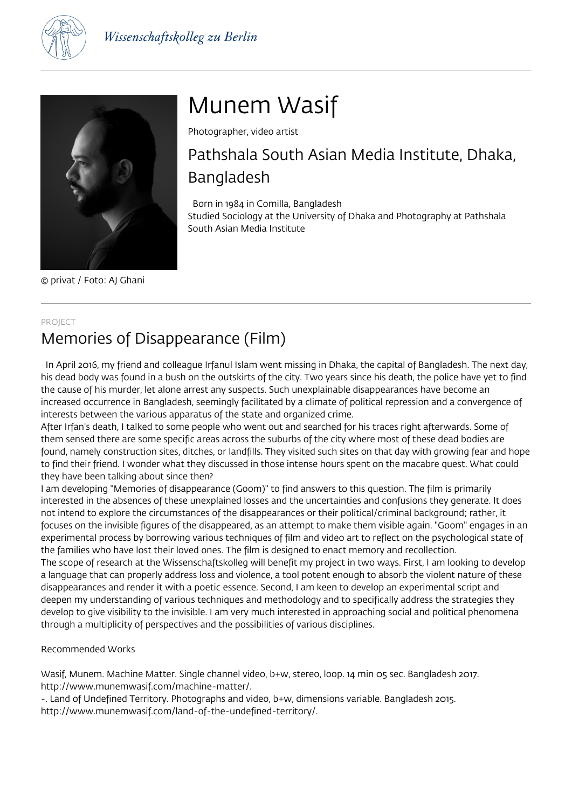



© privat / Foto: AJ Ghani

# Munem Wasif

Photographer, video artist

## Pathshala South Asian Media Institute, Dhaka, Bangladesh

Born in 1984 in Comilla, Bangladesh

Studied Sociology at the University of Dhaka and Photography at Pathshala South Asian Media Institute

#### PROJECT

## Memories of Disappearance (Film)

 In April 2016, my friend and colleague Irfanul Islam went missing in Dhaka, the capital of Bangladesh. The next day, his dead body was found in a bush on the outskirts of the city. Two years since his death, the police have yet to find the cause of his murder, let alone arrest any suspects. Such unexplainable disappearances have become an increased occurrence in Bangladesh, seemingly facilitated by a climate of political repression and a convergence of interests between the various apparatus of the state and organized crime.

After Irfan's death, I talked to some people who went out and searched for his traces right afterwards. Some of them sensed there are some specific areas across the suburbs of the city where most of these dead bodies are found, namely construction sites, ditches, or landfills. They visited such sites on that day with growing fear and hope to find their friend. I wonder what they discussed in those intense hours spent on the macabre quest. What could they have been talking about since then?

I am developing "Memories of disappearance (Goom)" to find answers to this question. The film is primarily interested in the absences of these unexplained losses and the uncertainties and confusions they generate. It does not intend to explore the circumstances of the disappearances or their political/criminal background; rather, it focuses on the invisible figures of the disappeared, as an attempt to make them visible again. "Goom" engages in an experimental process by borrowing various techniques of film and video art to reflect on the psychological state of the families who have lost their loved ones. The film is designed to enact memory and recollection.

The scope of research at the Wissenschaftskolleg will benefit my project in two ways. First, I am looking to develop a language that can properly address loss and violence, a tool potent enough to absorb the violent nature of these disappearances and render it with a poetic essence. Second, I am keen to develop an experimental script and deepen my understanding of various techniques and methodology and to specifically address the strategies they develop to give visibility to the invisible. I am very much interested in approaching social and political phenomena through a multiplicity of perspectives and the possibilities of various disciplines.

Recommended Works

Wasif, Munem. Machine Matter. Single channel video, b+w, stereo, loop. 14 min 05 sec. Bangladesh 2017. http://www.munemwasif.com/machine-matter/.

-. Land of Undefined Territory. Photographs and video, b+w, dimensions variable. Bangladesh 2015. http://www.munemwasif.com/land-of-the-undefined-territory/.